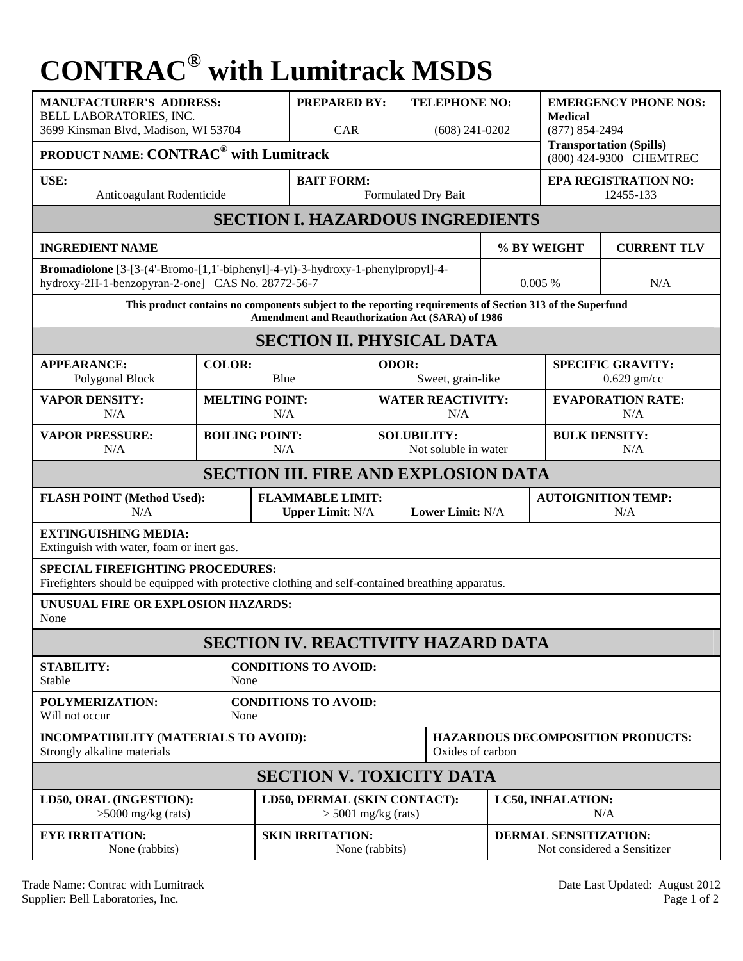## **CONTRAC® with Lumitrack MSDS**

| <b>MANUFACTURER'S ADDRESS:</b><br>BELL LABORATORIES, INC.<br>3699 Kinsman Blvd, Madison, WI 53704<br>PRODUCT NAME: CONTRAC <sup>®</sup> with Lumitrack        |                                     |                                                                                 | <b>PREPARED BY:</b><br><b>CAR</b>                     |                                            | <b>TELEPHONE NO:</b><br>$(608)$ 241-0202                            |                                                             | <b>EMERGENCY PHONE NOS:</b><br><b>Medical</b><br>$(877) 854 - 2494$<br><b>Transportation (Spills)</b> |  |
|---------------------------------------------------------------------------------------------------------------------------------------------------------------|-------------------------------------|---------------------------------------------------------------------------------|-------------------------------------------------------|--------------------------------------------|---------------------------------------------------------------------|-------------------------------------------------------------|-------------------------------------------------------------------------------------------------------|--|
| USE:<br>Anticoagulant Rodenticide                                                                                                                             |                                     | <b>BAIT FORM:</b><br>Formulated Dry Bait                                        |                                                       |                                            | (800) 424-9300 CHEMTREC<br><b>EPA REGISTRATION NO:</b><br>12455-133 |                                                             |                                                                                                       |  |
| <b>SECTION I. HAZARDOUS INGREDIENTS</b>                                                                                                                       |                                     |                                                                                 |                                                       |                                            |                                                                     |                                                             |                                                                                                       |  |
| <b>INGREDIENT NAME</b>                                                                                                                                        |                                     |                                                                                 |                                                       |                                            | % BY WEIGHT                                                         | <b>CURRENT TLV</b>                                          |                                                                                                       |  |
| hydroxy-2H-1-benzopyran-2-one] CAS No. 28772-56-7                                                                                                             |                                     | Bromadiolone [3-[3-(4'-Bromo-[1,1'-biphenyl]-4-yl)-3-hydroxy-1-phenylpropyl]-4- |                                                       |                                            | 0.005%                                                              | N/A                                                         |                                                                                                       |  |
| This product contains no components subject to the reporting requirements of Section 313 of the Superfund<br>Amendment and Reauthorization Act (SARA) of 1986 |                                     |                                                                                 |                                                       |                                            |                                                                     |                                                             |                                                                                                       |  |
| <b>SECTION II. PHYSICAL DATA</b>                                                                                                                              |                                     |                                                                                 |                                                       |                                            |                                                                     |                                                             |                                                                                                       |  |
| <b>APPEARANCE:</b><br>Polygonal Block                                                                                                                         | <b>COLOR:</b><br>Blue               |                                                                                 |                                                       | ODOR:<br>Sweet, grain-like                 |                                                                     | <b>SPECIFIC GRAVITY:</b><br>$0.629$ gm/cc                   |                                                                                                       |  |
| <b>VAPOR DENSITY:</b><br>N/A                                                                                                                                  | <b>MELTING POINT:</b><br>N/A        |                                                                                 |                                                       | <b>WATER REACTIVITY:</b><br>N/A            |                                                                     | <b>EVAPORATION RATE:</b><br>N/A                             |                                                                                                       |  |
| <b>VAPOR PRESSURE:</b><br>N/A                                                                                                                                 | <b>BOILING POINT:</b><br>N/A        |                                                                                 |                                                       | <b>SOLUBILITY:</b><br>Not soluble in water |                                                                     | <b>BULK DENSITY:</b><br>N/A                                 |                                                                                                       |  |
| <b>SECTION III. FIRE AND EXPLOSION DATA</b>                                                                                                                   |                                     |                                                                                 |                                                       |                                            |                                                                     |                                                             |                                                                                                       |  |
| <b>FLASH POINT (Method Used):</b><br>N/A                                                                                                                      |                                     | <b>FLAMMABLE LIMIT:</b><br><b>Lower Limit: N/A</b><br><b>Upper Limit: N/A</b>   |                                                       |                                            |                                                                     | <b>AUTOIGNITION TEMP:</b><br>N/A                            |                                                                                                       |  |
| <b>EXTINGUISHING MEDIA:</b><br>Extinguish with water, foam or inert gas.                                                                                      |                                     |                                                                                 |                                                       |                                            |                                                                     |                                                             |                                                                                                       |  |
| <b>SPECIAL FIREFIGHTING PROCEDURES:</b><br>Firefighters should be equipped with protective clothing and self-contained breathing apparatus.                   |                                     |                                                                                 |                                                       |                                            |                                                                     |                                                             |                                                                                                       |  |
| UNUSUAL FIRE OR EXPLOSION HAZARDS:<br>None                                                                                                                    |                                     |                                                                                 |                                                       |                                            |                                                                     |                                                             |                                                                                                       |  |
| <b>SECTION IV. REACTIVITY HAZARD DATA</b>                                                                                                                     |                                     |                                                                                 |                                                       |                                            |                                                                     |                                                             |                                                                                                       |  |
| <b>STABILITY:</b><br><b>Stable</b>                                                                                                                            | <b>CONDITIONS TO AVOID:</b><br>None |                                                                                 |                                                       |                                            |                                                                     |                                                             |                                                                                                       |  |
| POLYMERIZATION:<br>Will not occur                                                                                                                             | None                                | <b>CONDITIONS TO AVOID:</b>                                                     |                                                       |                                            |                                                                     |                                                             |                                                                                                       |  |
| INCOMPATIBILITY (MATERIALS TO AVOID):<br>Strongly alkaline materials                                                                                          |                                     |                                                                                 | Oxides of carbon                                      |                                            |                                                                     | <b>HAZARDOUS DECOMPOSITION PRODUCTS:</b>                    |                                                                                                       |  |
| <b>SECTION V. TOXICITY DATA</b>                                                                                                                               |                                     |                                                                                 |                                                       |                                            |                                                                     |                                                             |                                                                                                       |  |
| LD50, ORAL (INGESTION):<br>$>5000$ mg/kg (rats)                                                                                                               |                                     |                                                                                 | LD50, DERMAL (SKIN CONTACT):<br>$>$ 5001 mg/kg (rats) |                                            | LC50, INHALATION:<br>N/A                                            |                                                             |                                                                                                       |  |
| <b>EYE IRRITATION:</b><br>None (rabbits)                                                                                                                      |                                     | <b>SKIN IRRITATION:</b>                                                         | None (rabbits)                                        |                                            |                                                                     | <b>DERMAL SENSITIZATION:</b><br>Not considered a Sensitizer |                                                                                                       |  |